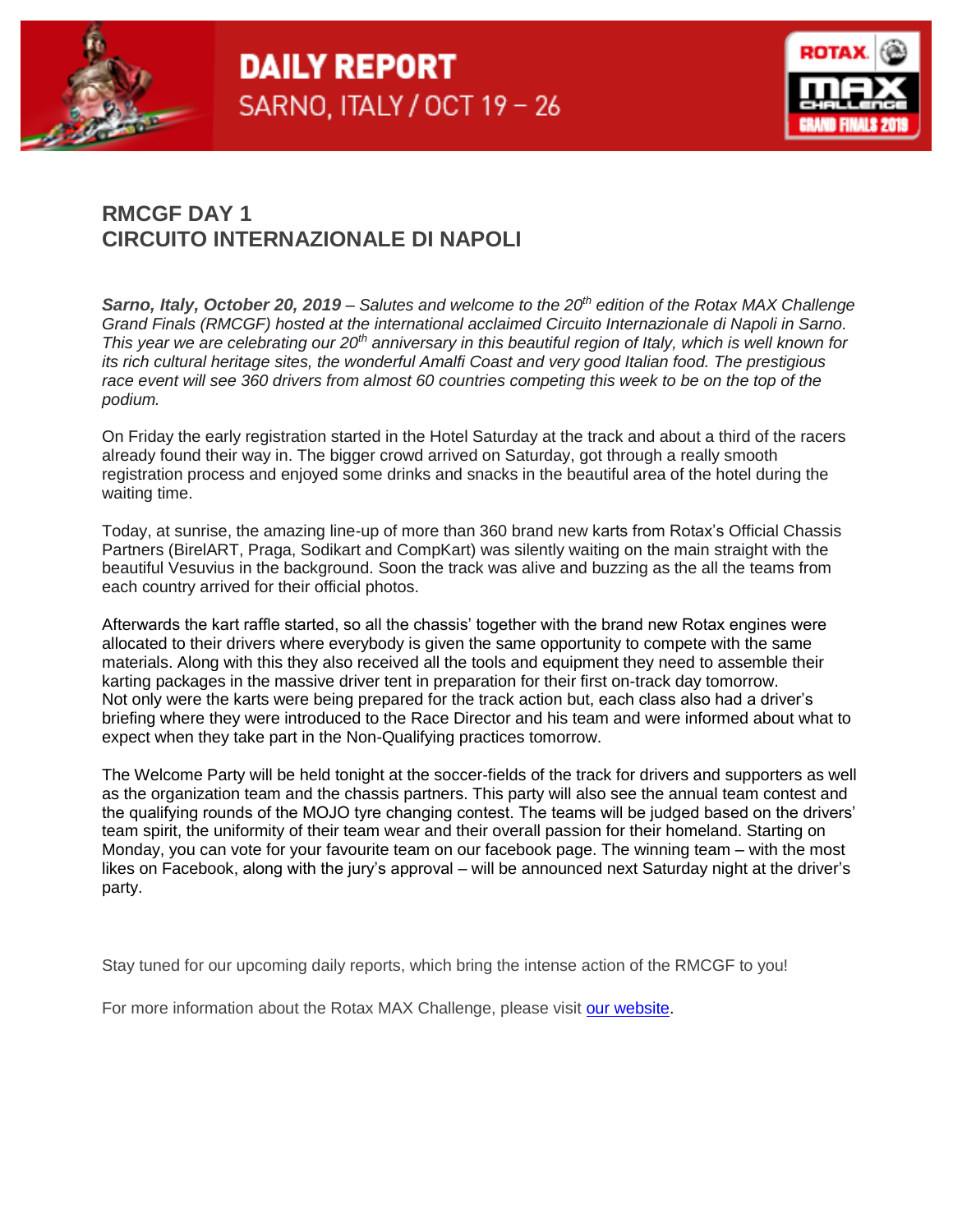



## **RMCGF DAY 1 CIRCUITO INTERNAZIONALE DI NAPOLI**

*Sarno, Italy, October 20, 2019 – Salutes and welcome to the 20th edition of the Rotax MAX Challenge Grand Finals (RMCGF) hosted at the international acclaimed Circuito Internazionale di Napoli in Sarno. This year we are celebrating our 20th anniversary in this beautiful region of Italy, which is well known for its rich cultural heritage sites, the wonderful Amalfi Coast and very good Italian food. The prestigious race event will see 360 drivers from almost 60 countries competing this week to be on the top of the podium.* 

On Friday the early registration started in the Hotel Saturday at the track and about a third of the racers already found their way in. The bigger crowd arrived on Saturday, got through a really smooth registration process and enjoyed some drinks and snacks in the beautiful area of the hotel during the waiting time.

Today, at sunrise, the amazing line-up of more than 360 brand new karts from Rotax's Official Chassis Partners (BirelART, Praga, Sodikart and CompKart) was silently waiting on the main straight with the beautiful Vesuvius in the background. Soon the track was alive and buzzing as the all the teams from each country arrived for their official photos.

Afterwards the kart raffle started, so all the chassis' together with the brand new Rotax engines were allocated to their drivers where everybody is given the same opportunity to compete with the same materials. Along with this they also received all the tools and equipment they need to assemble their karting packages in the massive driver tent in preparation for their first on-track day tomorrow. Not only were the karts were being prepared for the track action but, each class also had a driver's briefing where they were introduced to the Race Director and his team and were informed about what to expect when they take part in the Non-Qualifying practices tomorrow.

The Welcome Party will be held tonight at the soccer-fields of the track for drivers and supporters as well as the organization team and the chassis partners. This party will also see the annual team contest and the qualifying rounds of the MOJO tyre changing contest. The teams will be judged based on the drivers' team spirit, the uniformity of their team wear and their overall passion for their homeland. Starting on Monday, you can vote for your favourite team on our facebook page. The winning team – with the most likes on Facebook, along with the jury's approval – will be announced next Saturday night at the driver's party.

Stay tuned for our upcoming daily reports, which bring the intense action of the RMCGF to you!

For more information about the Rotax MAX Challenge, please visit [our website.](https://www.rotax-kart.com/de/Max-Challenge/Grand-Finals/Grand-Finals-2018/Information-Grand-Finals-2018)